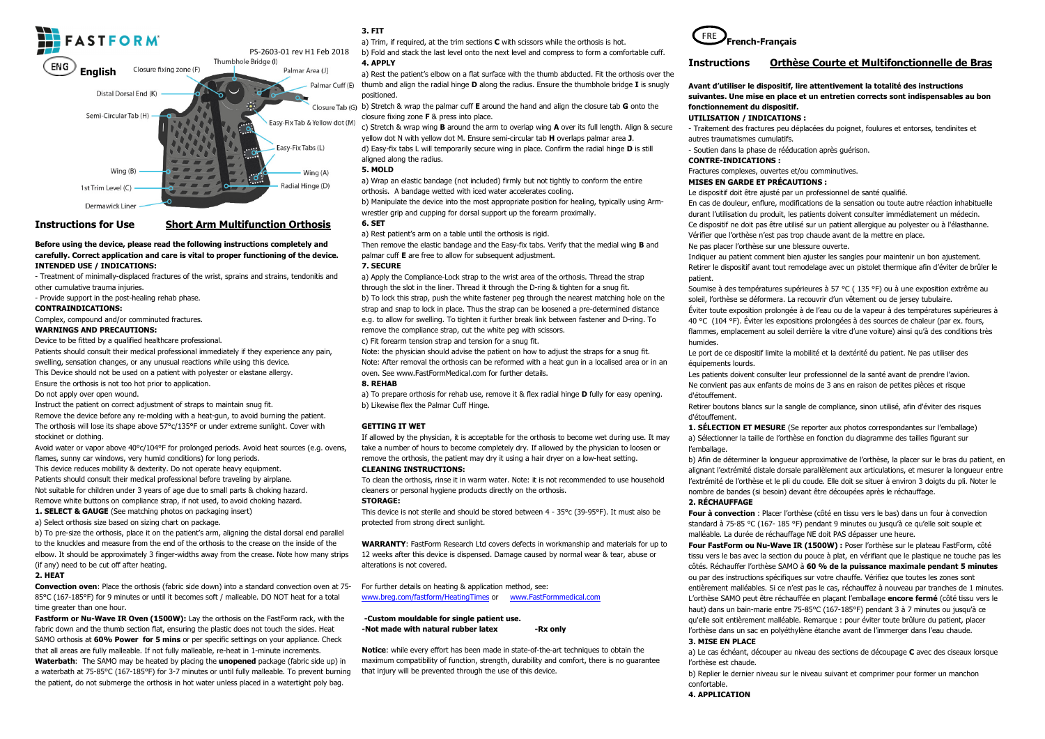

# **Instructions for Use**

**Short Arm Multifunction Orthosis** 

### **Before using the device, please read the following instructions completely and carefully. Correct application and care is vital to proper functioning of the device. INTENDED USE / INDICATIONS:**

- Treatment of minimally-displaced fractures of the wrist, sprains and strains, tendonitis and

other cumulative trauma injuries.

- Provide support in the post-healing rehab phase.

## **CONTRAINDICATIONS:**

Complex, compound and/or comminuted fractures.

## **WARNINGS AND PRECAUTIONS:**

Device to be fitted by a qualified healthcare professional.

Patients should consult their medical professional immediately if they experience any pain, swelling, sensation changes, or any unusual reactions while using this device. This Device should not be used on a patient with polyester or elastane allergy. Ensure the orthosis is not too hot prior to application.

Do not apply over open wound.

Instruct the patient on correct adjustment of straps to maintain snug fit.

 Remove the device before any re-molding with a heat-gun, to avoid burning the patient. The orthosis will lose its shape above 57°c/135°F or under extreme sunlight. Cover with stockinet or clothing.

Avoid water or vapor above 40°c/104°F for prolonged periods. Avoid heat sources (e.g. ovens, flames, sunny car windows, very humid conditions) for long periods.

 This device reduces mobility & dexterity. Do not operate heavy equipment. Patients should consult their medical professional before traveling by airplane. Not suitable for children under 3 years of age due to small parts & choking hazard. Remove white buttons on compliance strap, if not used, to avoid choking hazard.

**1. SELECT & GAUGE** (See matching photos on packaging insert)a) Select orthosis size based on sizing chart on package.

 b) To pre-size the orthosis, place it on the patient's arm, aligning the distal dorsal end parallel to the knuckles and measure from the end of the orthosis to the crease on the inside of the elbow. It should be approximately 3 finger-widths away from the crease. Note how many strips (if any) need to be cut off after heating.

#### **2. HEAT**

 **Convection oven**: Place the orthosis (fabric side down) into a standard convection oven at 75-85°C (167-185°F) for 9 minutes or until it becomes soft / malleable. DO NOT heat for a total time greater than one hour.

**Fastform or Nu-Wave IR Oven (1500W):** Lay the orthosis on the FastForm rack, with the fabric down and the thumb section flat, ensuring the plastic does not touch the sides. Heat SAMO orthosis at **60% Power for 5 mins** or per specific settings on your appliance. Check that all areas are fully malleable. If not fully malleable, re-heat in 1-minute increments.

 **Waterbath**: The SAMO may be heated by placing the **unopened** package (fabric side up) in a waterbath at 75-85°C (167-185°F) for 3-7 minutes or until fully malleable. To prevent burning the patient, do not submerge the orthosis in hot water unless placed in a watertight poly bag.

# **3. FIT**

a) Trim, if required, at the trim sections **C** with scissors while the orthosis is hot.

 b) Fold and stack the last level onto the next level and compress to form a comfortable cuff. **4. APPLY** 

 a) Rest the patient's elbow on a flat surface with the thumb abducted. Fit the orthosis over the Palmar Cuff (E) thumb and align the radial hinge **D** along the radius. Ensure the thumbhole bridge **I** is snugly positioned.

 b) Stretch & wrap the palmar cuff **E** around the hand and align the closure tab **G** onto the closure fixing zone **F** & press into place.

 c) Stretch & wrap wing **B** around the arm to overlap wing **A** over its full length. Align & secure yellow dot N with yellow dot M. Ensure semi-circular tab **H** overlaps palmar area **J**. d) Easy-fix tabs L will temporarily secure wing in place. Confirm the radial hinge **D** is still aligned along the radius.

#### **5. MOLD**

 a) Wrap an elastic bandage (not included) firmly but not tightly to conform the entire orthosis. A bandage wetted with iced water accelerates cooling.

 b) Manipulate the device into the most appropriate position for healing, typically using Armwrestler grip and cupping for dorsal support up the forearm proximally.

# **6. SET**

a) Rest patient's arm on a table until the orthosis is rigid.

 Then remove the elastic bandage and the Easy-fix tabs. Verify that the medial wing **B** and palmar cuff **E** are free to allow for subsequent adjustment.

## **7. SECURE**

a) Apply the Compliance-Lock strap to the wrist area of the orthosis. Thread the strap through the slot in the liner. Thread it through the D-ring & tighten for a snug fit. b) To lock this strap, push the white fastener peg through the nearest matching hole on the strap and snap to lock in place. Thus the strap can be loosened a pre-determined distance e.g. to allow for swelling. To tighten it further break link between fastener and D-ring. To remove the compliance strap, cut the white peg with scissors.

c) Fit forearm tension strap and tension for a snug fit.

 Note: the physician should advise the patient on how to adjust the straps for a snug fit. Note: After removal the orthosis can be reformed with a heat gun in a localised area or in an oven. See www.FastFormMedical.com for further details.

# **8. REHAB**

a) To prepare orthosis for rehab use, remove it & flex radial hinge **D** fully for easy opening. b) Likewise flex the Palmar Cuff Hinge.

#### **GETTING IT WET**

If allowed by the physician, it is acceptable for the orthosis to become wet during use. It may take a number of hours to become completely dry. If allowed by the physician to loosen or remove the orthosis, the patient may dry it using a hair dryer on a low-heat setting. **CLEANING INSTRUCTIONS:** 

To clean the orthosis, rinse it in warm water. Note: it is not recommended to use household cleaners or personal hygiene products directly on the orthosis.

#### **STORAGE:**

 This device is not sterile and should be stored between 4 - 35°c (39-95°F). It must also be protected from strong direct sunlight.

**WARRANTY**: FastForm Research Ltd covers defects in workmanship and materials for up to 12 weeks after this device is dispensed. Damage caused by normal wear & tear, abuse or alterations is not covered.

For further details on heating & application method, see: www.breg.com/fastform/HeatingTimes or www.FastFormmedical.com

### **-Custom mouldable for single patient use.** -Not made with natural rubber latex **-Rx only**

**Notice**: while every effort has been made in state-of-the-art techniques to obtain the maximum compatibility of function, strength, durability and comfort, there is no guarantee that injury will be prevented through the use of this device.



## **Instructions Orthèse Courte et Multifonctionnelle de Bras**

# **Avant d'utiliser le dispositif, lire attentivement la totalité des instructions suivantes. Une mise en place et un entretien corrects sont indispensables au bon fonctionnement du dispositif.**

# **UTILISATION / INDICATIONS :**

 - Traitement des fractures peu déplacées du poignet, foulures et entorses, tendinites et autres traumatismes cumulatifs.

- Soutien dans la phase de rééducation après guérison.

# **CONTRE-INDICATIONS :**

Fractures complexes, ouvertes et/ou comminutives.

# **MISES EN GARDE ET PRÉCAUTIONS :**

Le dispositif doit être ajusté par un professionnel de santé qualifié.

En cas de douleur, enflure, modifications de la sensation ou toute autre réaction inhabituelle durant l'utilisation du produit, les patients doivent consulter immédiatement un médecin. Ce dispositif ne doit pas être utilisé sur un patient allergique au polyester ou à l'élasthanne. Vérifier que l'orthèse n'est pas trop chaude avant de la mettre en place. Ne pas placer l'orthèse sur une blessure ouverte.

 Indiquer au patient comment bien ajuster les sangles pour maintenir un bon ajustement. Retirer le dispositif avant tout remodelage avec un pistolet thermique afin d'éviter de brûler le patient.

Soumise à des températures supérieures à 57 °C ( 135 °F) ou à une exposition extrême au soleil, l'orthèse se déformera. La recouvrir d'un vêtement ou de jersey tubulaire. Éviter toute exposition prolongée à de l'eau ou de la vapeur à des températures supérieures à 40 °C (104 °F). Éviter les expositions prolongées à des sources de chaleur (par ex. fours, flammes, emplacement au soleil derrière la vitre d'une voiture) ainsi qu'à des conditions très humides.

 Le port de ce dispositif limite la mobilité et la dextérité du patient. Ne pas utiliser des équipements lourds.

 Les patients doivent consulter leur professionnel de la santé avant de prendre l'avion. Ne convient pas aux enfants de moins de 3 ans en raison de petites pièces et risque d'étouffement.

 Retirer boutons blancs sur la sangle de compliance, sinon utilisé, afin d'éviter des risques d'étouffement.

 **1. SÉLECTION ET MESURE** (Se reporter aux photos correspondantes sur l'emballage)a) Sélectionner la taille de l'orthèse en fonction du diagramme des tailles figurant sur l'emballage.

 b) Afin de déterminer la longueur approximative de l'orthèse, la placer sur le bras du patient, en alignant l'extrémité distale dorsale parallèlement aux articulations, et mesurer la longueur entre l'extrémité de l'orthèse et le pli du coude. Elle doit se situer à environ 3 doigts du pli. Noter le nombre de bandes (si besoin) devant être découpées après le réchauffage.

# **2. RÉCHAUFFAGE**

 **Four à convection** : Placer l'orthèse (côté en tissu vers le bas) dans un four à convection standard à 75-85 °C (167- 185 °F) pendant 9 minutes ou jusqu'à ce qu'elle soit souple et malléable. La durée de réchauffage NE doit PAS dépasser une heure.

 **Four FastForm ou Nu-Wave IR (1500W) :** Poser l'orthèse sur le plateau FastForm, côté tissu vers le bas avec la section du pouce à plat, en vérifiant que le plastique ne touche pas les côtés. Réchauffer l'orthèse SAMO à **60 % de la puissance maximale pendant 5 minutes**ou par des instructions spécifiques sur votre chauffe. Vérifiez que toutes les zones sont entièrement malléables. Si ce n'est pas le cas, réchauffez à nouveau par tranches de 1 minutes. L'orthèse SAMO peut être réchauffée en plaçant l'emballage **encore fermé** (côté tissu vers le haut) dans un bain-marie entre 75-85°C (167-185°F) pendant 3 à 7 minutes ou jusqu'à ce qu'elle soit entièrement malléable. Remarque : pour éviter toute brûlure du patient, placer l'orthèse dans un sac en polyéthylène étanche avant de l'immerger dans l'eau chaude.

# **3. MISE EN PLACE**

a) Le cas échéant, découper au niveau des sections de découpage **C** avec des ciseaux lorsque l'orthèse est chaude.

b) Replier le dernier niveau sur le niveau suivant et comprimer pour former un manchon confortable.

**4. APPLICATION**